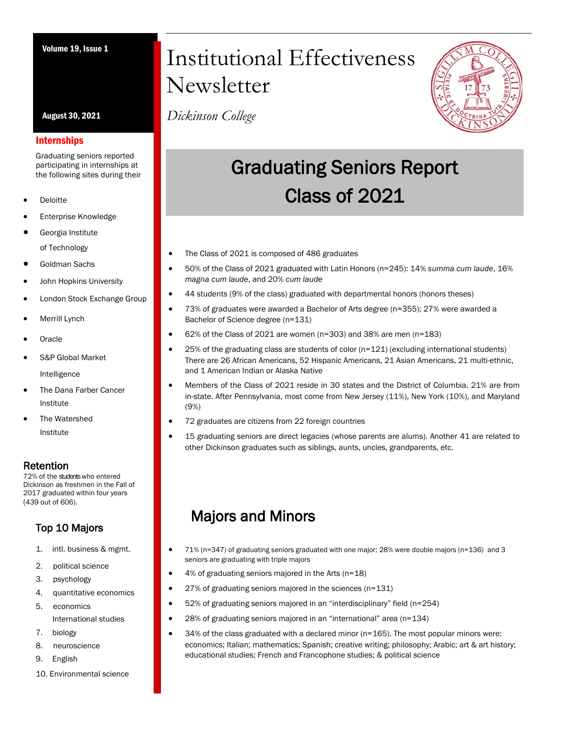August 30, 2021

#### Internships

Graduating seniors reported participating in internships at the following sites during their

- **Deloitte**
- Enterprise Knowledge
- Georgia Institute of Technology
- Goldman Sachs
- John Hopkins University
- London Stock Exchange Group
- **Merrill Lynch**
- **Oracle**
- S&P Global Market

Intelligence

- The Dana Farber Cancer Institute
- Institute The Watershed

### Retention

72% of the studentswho entered Dickinson as freshmen in the Fall of 2017 graduated within four years (439 out of 606).

## Top 10 Majors

- 1. intl. business & mgmt.
- 2. political science
- 3. psychology
- 4. quantitative economics
- 5. economics International studies
- 7. biology
- 8. neuroscience
- 9. English
- 10. Environmental science

# Volume 19, Issue 1 Institutional Effectiveness **Newsletter**

*Dickinson College*



## Graduating Seniors Report Class of 2021

- The Class of 2021 is composed of 486 graduates
- 50% of the Class of 2021 graduated with Latin Honors (n=245): 14% *summa cum laude*, 16% *magna cum laude*, and 20% *cum laude*
- 44 students (9% of the class) graduated with departmental honors (honors theses)
- 73% of graduates were awarded a Bachelor of Arts degree (n=355); 27% were awarded a Bachelor of Science degree (n=131)
- 62% of the Class of 2021 are women (n=303) and 38% are men (n=183)
- $\bullet$  25% of the graduating class are students of color (n=121) (excluding international students) There are 26 African Americans, 52 Hispanic Americans, 21 Asian Americans, 21 multi-ethnic, and 1 American Indian or Alaska Native
- Members of the Class of 2021 reside in 30 states and the District of Columbia. 21% are from in-state. After Pennsylvania, most come from New Jersey (11%), New York (10%), and Maryland (9%)
- 72 graduates are citizens from 22 foreign countries
- 15 graduating seniors are direct legacies (whose parents are alums). Another 41 are related to other Dickinson graduates such as siblings, aunts, uncles, grandparents, etc.

## Majors and Minors

- 71% (n=347) of graduating seniors graduated with one major; 28% were double majors (n=136) and 3 seniors are graduating with triple majors
	- 4% of graduating seniors majored in the Arts (n=18)
- 27% of graduating seniors majored in the sciences (n=131)
- 52% of graduating seniors majored in an "interdisciplinary" field (n=254)
- 28% of graduating seniors majored in an "international" area (n=134)
- $\bullet$  34% of the class graduated with a declared minor ( $n=165$ ). The most popular minors were: economics; Italian; mathematics; Spanish; creative writing; philosophy; Arabic; art & art history; educational studies; French and Francophone studies; & political science